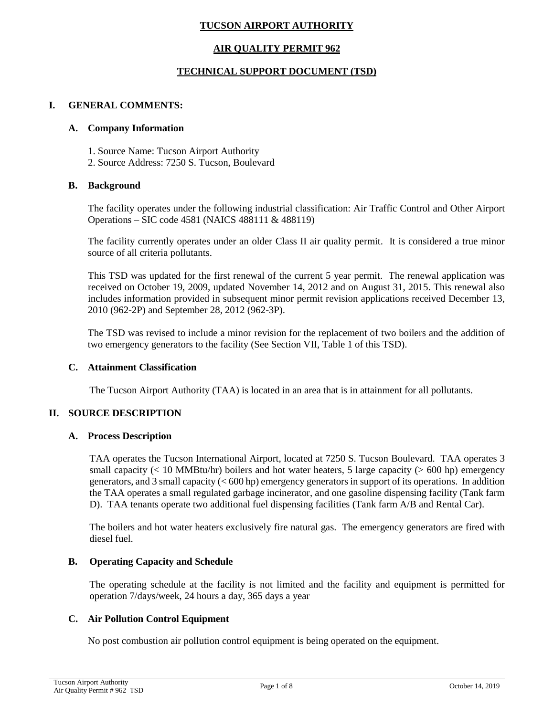# **TUCSON AIRPORT AUTHORITY**

# **AIR QUALITY PERMIT 962**

## **TECHNICAL SUPPORT DOCUMENT (TSD)**

### **I. GENERAL COMMENTS:**

### **A. Company Information**

- 1. Source Name: Tucson Airport Authority
- 2. Source Address: 7250 S. Tucson, Boulevard

### **B. Background**

The facility operates under the following industrial classification: Air Traffic Control and Other Airport Operations – SIC code 4581 (NAICS 488111 & 488119)

The facility currently operates under an older Class II air quality permit. It is considered a true minor source of all criteria pollutants.

This TSD was updated for the first renewal of the current 5 year permit. The renewal application was received on October 19, 2009, updated November 14, 2012 and on August 31, 2015. This renewal also includes information provided in subsequent minor permit revision applications received December 13, 2010 (962-2P) and September 28, 2012 (962-3P).

The TSD was revised to include a minor revision for the replacement of two boilers and the addition of two emergency generators to the facility (See Section VII, Table 1 of this TSD).

## **C. Attainment Classification**

The Tucson Airport Authority (TAA) is located in an area that is in attainment for all pollutants.

# **II. SOURCE DESCRIPTION**

### **A. Process Description**

TAA operates the Tucson International Airport, located at 7250 S. Tucson Boulevard. TAA operates 3 small capacity ( $< 10$  MMBtu/hr) boilers and hot water heaters, 5 large capacity ( $> 600$  hp) emergency generators, and 3 small capacity (< 600 hp) emergency generators in support of its operations. In addition the TAA operates a small regulated garbage incinerator, and one gasoline dispensing facility (Tank farm D). TAA tenants operate two additional fuel dispensing facilities (Tank farm A/B and Rental Car).

The boilers and hot water heaters exclusively fire natural gas. The emergency generators are fired with diesel fuel.

# **B. Operating Capacity and Schedule**

The operating schedule at the facility is not limited and the facility and equipment is permitted for operation 7/days/week, 24 hours a day, 365 days a year

## **C. Air Pollution Control Equipment**

No post combustion air pollution control equipment is being operated on the equipment.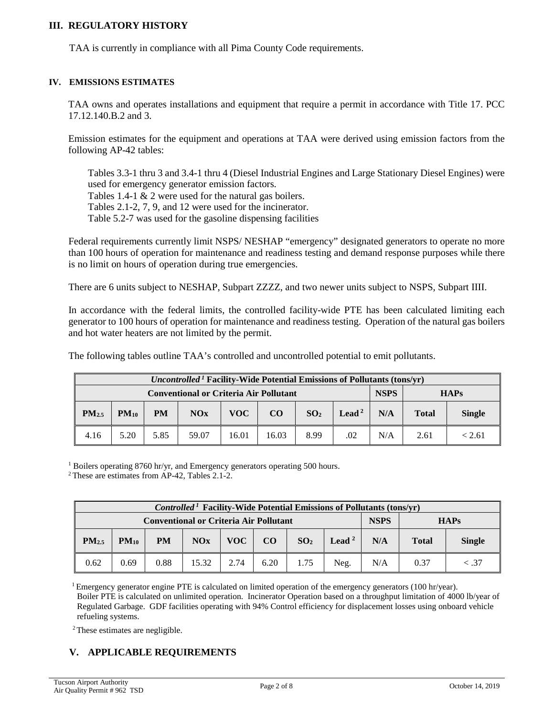### **III. REGULATORY HISTORY**

TAA is currently in compliance with all Pima County Code requirements.

#### **IV. EMISSIONS ESTIMATES**

TAA owns and operates installations and equipment that require a permit in accordance with Title 17. PCC 17.12.140.B.2 and 3.

Emission estimates for the equipment and operations at TAA were derived using emission factors from the following AP-42 tables:

Tables 3.3-1 thru 3 and 3.4-1 thru 4 (Diesel Industrial Engines and Large Stationary Diesel Engines) were used for emergency generator emission factors. Tables 1.4-1 & 2 were used for the natural gas boilers.

Tables 2.1-2, 7, 9, and 12 were used for the incinerator.

Table 5.2-7 was used for the gasoline dispensing facilities

Federal requirements currently limit NSPS/ NESHAP "emergency" designated generators to operate no more than 100 hours of operation for maintenance and readiness testing and demand response purposes while there is no limit on hours of operation during true emergencies.

There are 6 units subject to NESHAP, Subpart ZZZZ, and two newer units subject to NSPS, Subpart IIII.

In accordance with the federal limits, the controlled facility-wide PTE has been calculated limiting each generator to 100 hours of operation for maintenance and readiness testing. Operation of the natural gas boilers and hot water heaters are not limited by the permit.

The following tables outline TAA's controlled and uncontrolled potential to emit pollutants.

| <i>Uncontrolled</i> <sup>1</sup> Facility-Wide Potential Emissions of Pollutants (tons/yr) |                                               |           |       |       |          |                 |                   |     |              |               |
|--------------------------------------------------------------------------------------------|-----------------------------------------------|-----------|-------|-------|----------|-----------------|-------------------|-----|--------------|---------------|
|                                                                                            | <b>Conventional or Criteria Air Pollutant</b> |           |       |       |          | <b>NSPS</b>     | <b>HAPs</b>       |     |              |               |
| PM <sub>2.5</sub>                                                                          | $PM_{10}$                                     | <b>PM</b> | NOx   | VOC   | $\bf CO$ | SO <sub>2</sub> | Lead <sup>2</sup> | N/A | <b>Total</b> | <b>Single</b> |
| 4.16                                                                                       | 5.20                                          | 5.85      | 59.07 | 16.01 | 16.03    | 8.99            | .02               | N/A | 2.61         | < 2.61        |

<sup>1</sup> Boilers operating 8760 hr/yr, and Emergency generators operating 500 hours.

2 These are estimates from AP-42, Tables 2.1-2.

|                                                                             | <i>Controlled</i> <sup>1</sup> Facility-Wide Potential Emissions of Pollutants (tons/yr) |           |       |            |      |                 |                   |     |              |               |
|-----------------------------------------------------------------------------|------------------------------------------------------------------------------------------|-----------|-------|------------|------|-----------------|-------------------|-----|--------------|---------------|
| <b>NSPS</b><br><b>Conventional or Criteria Air Pollutant</b><br><b>HAPs</b> |                                                                                          |           |       |            |      |                 |                   |     |              |               |
| $PM_{2.5}$                                                                  | $PM_{10}$                                                                                | <b>PM</b> | NOx   | <b>VOC</b> | CO   | SO <sub>2</sub> | Lead <sup>2</sup> | N/A | <b>Total</b> | <b>Single</b> |
| 0.62                                                                        | 0.69                                                                                     | 0.88      | 15.32 | 2.74       | 6.20 | 1.75            | Neg.              | N/A | 0.37         | <.37          |

<sup>1</sup> Emergency generator engine PTE is calculated on limited operation of the emergency generators (100 hr/year). Boiler PTE is calculated on unlimited operation. Incinerator Operation based on a throughput limitation of 4000 lb/year of Regulated Garbage. GDF facilities operating with 94% Control efficiency for displacement losses using onboard vehicle refueling systems.

<sup>2</sup> These estimates are negligible.

# **V. APPLICABLE REQUIREMENTS**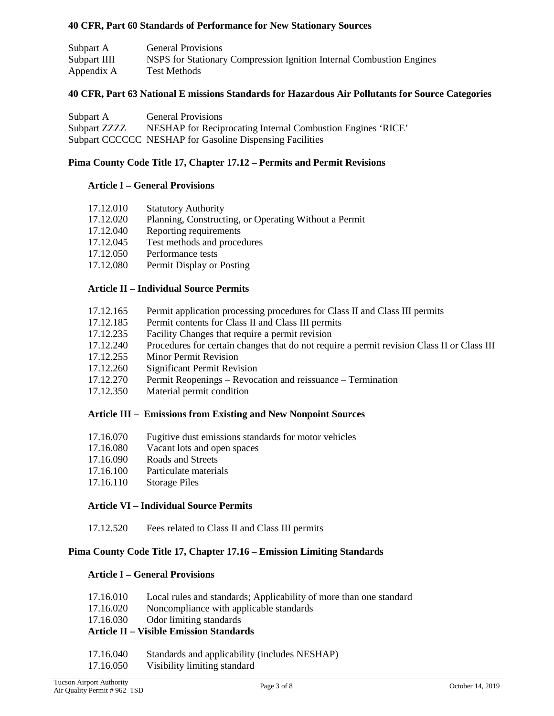## **40 CFR, Part 60 Standards of Performance for New Stationary Sources**

| Subpart A    | <b>General Provisions</b>                                            |
|--------------|----------------------------------------------------------------------|
| Subpart IIII | NSPS for Stationary Compression Ignition Internal Combustion Engines |
| Appendix A   | Test Methods                                                         |

### **40 CFR, Part 63 National E missions Standards for Hazardous Air Pollutants for Source Categories**

| Subpart A    | <b>General Provisions</b>                                   |
|--------------|-------------------------------------------------------------|
| Subpart ZZZZ | NESHAP for Reciprocating Internal Combustion Engines 'RICE' |
|              | Subpart CCCCCC NESHAP for Gasoline Dispensing Facilities    |

### **Pima County Code Title 17, Chapter 17.12 – Permits and Permit Revisions**

### **Article I – General Provisions**

| 17.12.010 | <b>Statutory Authority</b>                            |
|-----------|-------------------------------------------------------|
| 17.12.020 | Planning, Constructing, or Operating Without a Permit |
| 17.12.040 | Reporting requirements                                |
| 17.12.045 | Test methods and procedures                           |
| 17.12.050 | Performance tests                                     |
| 17.12.080 | Permit Display or Posting                             |
|           |                                                       |

## **Article II – Individual Source Permits**

- 17.12.165 Permit application processing procedures for Class II and Class III permits
- 17.12.185 Permit contents for Class II and Class III permits
- 17.12.235 Facility Changes that require a permit revision
- 17.12.240 Procedures for certain changes that do not require a permit revision Class II or Class III
- 17.12.255 Minor Permit Revision
- 17.12.260 Significant Permit Revision
- 17.12.270 Permit Reopenings Revocation and reissuance Termination
- 17.12.350 Material permit condition

### **Article III – Emissions from Existing and New Nonpoint Sources**

- 17.16.070 Fugitive dust emissions standards for motor vehicles
- 17.16.080 Vacant lots and open spaces
- 17.16.090 Roads and Streets
- 17.16.100 Particulate materials
- 17.16.110 Storage Piles

### **Article VI – Individual Source Permits**

17.12.520 Fees related to Class II and Class III permits

## **Pima County Code Title 17, Chapter 17.16 – Emission Limiting Standards**

### **Article I – General Provisions**

- 17.16.010 Local rules and standards; Applicability of more than one standard
- 17.16.020 Noncompliance with applicable standards
- 17.16.030 Odor limiting standards

# **Article II – Visible Emission Standards**

- 17.16.040 Standards and applicability (includes NESHAP)
- 17.16.050 Visibility limiting standard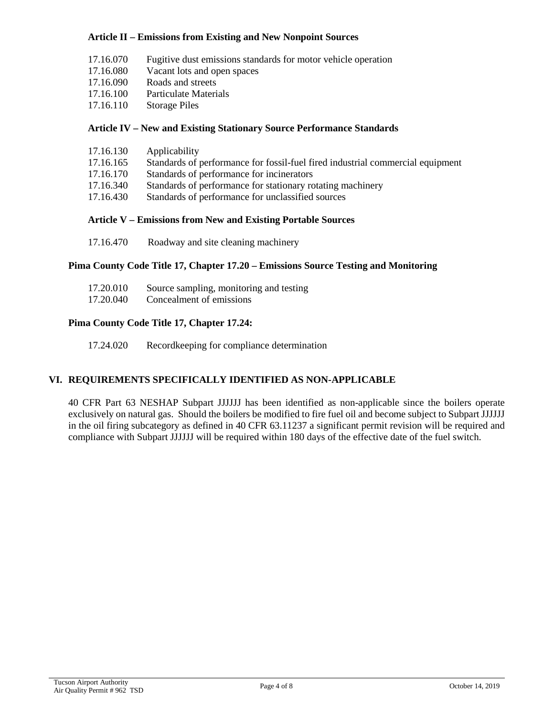### **Article II – Emissions from Existing and New Nonpoint Sources**

- 17.16.070 Fugitive dust emissions standards for motor vehicle operation
- 17.16.080 Vacant lots and open spaces
- 17.16.090 Roads and streets
- 17.16.100 Particulate Materials
- 17.16.110 Storage Piles

## **Article IV – New and Existing Stationary Source Performance Standards**

| 17.16.130 | Applicability |
|-----------|---------------|
|-----------|---------------|

- 17.16.165 Standards of performance for fossil-fuel fired industrial commercial equipment
- 17.16.170 Standards of performance for incinerators
- 17.16.340 Standards of performance for stationary rotating machinery
- 17.16.430 Standards of performance for unclassified sources

## **Article V – Emissions from New and Existing Portable Sources**

17.16.470 Roadway and site cleaning machinery

## **Pima County Code Title 17, Chapter 17.20 – Emissions Source Testing and Monitoring**

| 17.20.010 | Source sampling, monitoring and testing |
|-----------|-----------------------------------------|
| 17.20.040 | Concealment of emissions                |

## **Pima County Code Title 17, Chapter 17.24:**

17.24.020 Recordkeeping for compliance determination

# **VI. REQUIREMENTS SPECIFICALLY IDENTIFIED AS NON-APPLICABLE**

40 CFR Part 63 NESHAP Subpart JJJJJJ has been identified as non-applicable since the boilers operate exclusively on natural gas. Should the boilers be modified to fire fuel oil and become subject to Subpart JJJJJJ in the oil firing subcategory as defined in 40 CFR 63.11237 a significant permit revision will be required and compliance with Subpart JJJJJJ will be required within 180 days of the effective date of the fuel switch.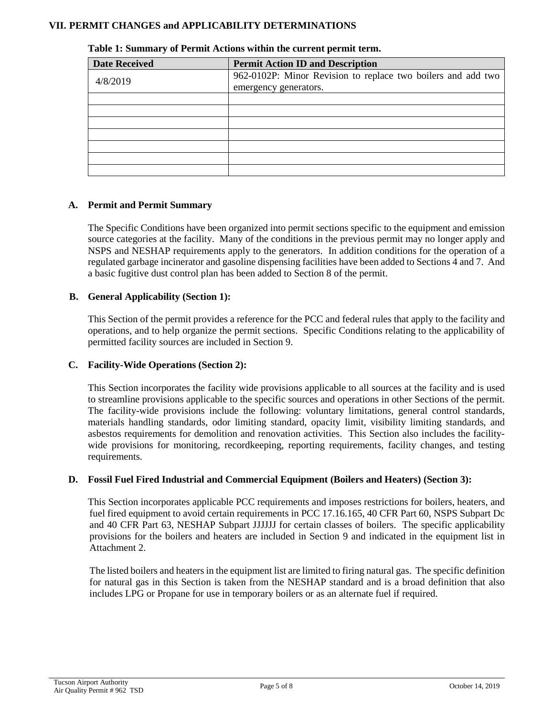## **VII. PERMIT CHANGES and APPLICABILITY DETERMINATIONS**

| <b>Date Received</b> | <b>Permit Action ID and Description</b>                      |
|----------------------|--------------------------------------------------------------|
| 4/8/2019             | 962-0102P: Minor Revision to replace two boilers and add two |
|                      | emergency generators.                                        |
|                      |                                                              |
|                      |                                                              |
|                      |                                                              |
|                      |                                                              |
|                      |                                                              |
|                      |                                                              |
|                      |                                                              |

#### **Table 1: Summary of Permit Actions within the current permit term.**

## **A. Permit and Permit Summary**

The Specific Conditions have been organized into permit sections specific to the equipment and emission source categories at the facility. Many of the conditions in the previous permit may no longer apply and NSPS and NESHAP requirements apply to the generators. In addition conditions for the operation of a regulated garbage incinerator and gasoline dispensing facilities have been added to Sections 4 and 7. And a basic fugitive dust control plan has been added to Section 8 of the permit.

## **B. General Applicability (Section 1):**

This Section of the permit provides a reference for the PCC and federal rules that apply to the facility and operations, and to help organize the permit sections. Specific Conditions relating to the applicability of permitted facility sources are included in Section 9.

### **C. Facility-Wide Operations (Section 2):**

This Section incorporates the facility wide provisions applicable to all sources at the facility and is used to streamline provisions applicable to the specific sources and operations in other Sections of the permit. The facility-wide provisions include the following: voluntary limitations, general control standards, materials handling standards, odor limiting standard, opacity limit, visibility limiting standards, and asbestos requirements for demolition and renovation activities. This Section also includes the facilitywide provisions for monitoring, recordkeeping, reporting requirements, facility changes, and testing requirements.

### **D. Fossil Fuel Fired Industrial and Commercial Equipment (Boilers and Heaters) (Section 3):**

This Section incorporates applicable PCC requirements and imposes restrictions for boilers, heaters, and fuel fired equipment to avoid certain requirements in PCC 17.16.165, 40 CFR Part 60, NSPS Subpart Dc and 40 CFR Part 63, NESHAP Subpart JJJJJJ for certain classes of boilers. The specific applicability provisions for the boilers and heaters are included in Section 9 and indicated in the equipment list in Attachment 2.

The listed boilers and heaters in the equipment list are limited to firing natural gas. The specific definition for natural gas in this Section is taken from the NESHAP standard and is a broad definition that also includes LPG or Propane for use in temporary boilers or as an alternate fuel if required.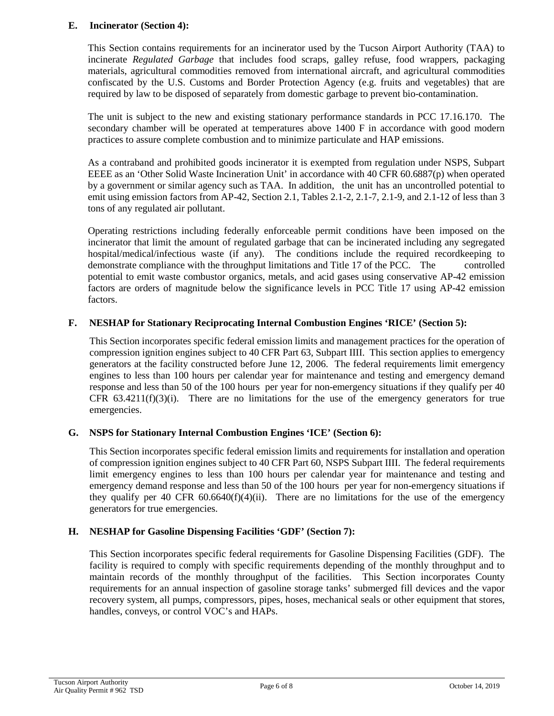## **E. Incinerator (Section 4):**

This Section contains requirements for an incinerator used by the Tucson Airport Authority (TAA) to incinerate *Regulated Garbage* that includes food scraps, galley refuse, food wrappers, packaging materials, agricultural commodities removed from international aircraft, and agricultural commodities confiscated by the U.S. Customs and Border Protection Agency (e.g. fruits and vegetables) that are required by law to be disposed of separately from domestic garbage to prevent bio-contamination.

The unit is subject to the new and existing stationary performance standards in PCC 17.16.170. The secondary chamber will be operated at temperatures above 1400 F in accordance with good modern practices to assure complete combustion and to minimize particulate and HAP emissions.

As a contraband and prohibited goods incinerator it is exempted from regulation under NSPS, Subpart EEEE as an 'Other Solid Waste Incineration Unit' in accordance with 40 CFR 60.6887(p) when operated by a government or similar agency such as TAA. In addition, the unit has an uncontrolled potential to emit using emission factors from AP-42, Section 2.1, Tables 2.1-2, 2.1-7, 2.1-9, and 2.1-12 of less than 3 tons of any regulated air pollutant.

Operating restrictions including federally enforceable permit conditions have been imposed on the incinerator that limit the amount of regulated garbage that can be incinerated including any segregated hospital/medical/infectious waste (if any). The conditions include the required recordkeeping to demonstrate compliance with the throughput limitations and Title 17 of the PCC. The controlled potential to emit waste combustor organics, metals, and acid gases using conservative AP-42 emission factors are orders of magnitude below the significance levels in PCC Title 17 using AP-42 emission factors.

# **F. NESHAP for Stationary Reciprocating Internal Combustion Engines 'RICE' (Section 5):**

This Section incorporates specific federal emission limits and management practices for the operation of compression ignition engines subject to 40 CFR Part 63, Subpart IIII. This section applies to emergency generators at the facility constructed before June 12, 2006. The federal requirements limit emergency engines to less than 100 hours per calendar year for maintenance and testing and emergency demand response and less than 50 of the 100 hours per year for non-emergency situations if they qualify per 40 CFR  $63.4211(f)(3)(i)$ . There are no limitations for the use of the emergency generators for true emergencies.

# **G. NSPS for Stationary Internal Combustion Engines 'ICE' (Section 6):**

This Section incorporates specific federal emission limits and requirements for installation and operation of compression ignition engines subject to 40 CFR Part 60, NSPS Subpart IIII. The federal requirements limit emergency engines to less than 100 hours per calendar year for maintenance and testing and emergency demand response and less than 50 of the 100 hours per year for non-emergency situations if they qualify per 40 CFR  $60.6640(f)(4)(ii)$ . There are no limitations for the use of the emergency generators for true emergencies.

# **H. NESHAP for Gasoline Dispensing Facilities 'GDF' (Section 7):**

This Section incorporates specific federal requirements for Gasoline Dispensing Facilities (GDF). The facility is required to comply with specific requirements depending of the monthly throughput and to maintain records of the monthly throughput of the facilities. This Section incorporates County requirements for an annual inspection of gasoline storage tanks' submerged fill devices and the vapor recovery system, all pumps, compressors, pipes, hoses, mechanical seals or other equipment that stores, handles, conveys, or control VOC's and HAPs.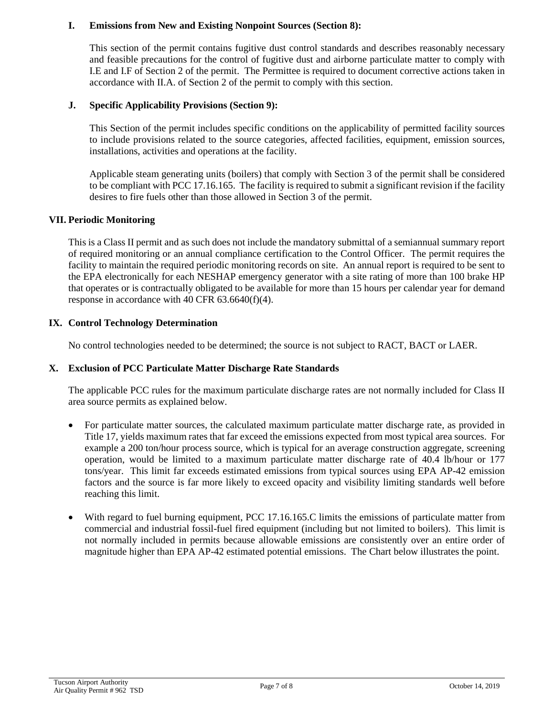### **I. Emissions from New and Existing Nonpoint Sources (Section 8):**

This section of the permit contains fugitive dust control standards and describes reasonably necessary and feasible precautions for the control of fugitive dust and airborne particulate matter to comply with I.E and I.F of Section 2 of the permit. The Permittee is required to document corrective actions taken in accordance with II.A. of Section 2 of the permit to comply with this section.

### **J. Specific Applicability Provisions (Section 9):**

This Section of the permit includes specific conditions on the applicability of permitted facility sources to include provisions related to the source categories, affected facilities, equipment, emission sources, installations, activities and operations at the facility.

Applicable steam generating units (boilers) that comply with Section 3 of the permit shall be considered to be compliant with PCC 17.16.165. The facility is required to submit a significant revision if the facility desires to fire fuels other than those allowed in Section 3 of the permit.

### **VII. Periodic Monitoring**

This is a Class II permit and as such does not include the mandatory submittal of a semiannual summary report of required monitoring or an annual compliance certification to the Control Officer. The permit requires the facility to maintain the required periodic monitoring records on site. An annual report is required to be sent to the EPA electronically for each NESHAP emergency generator with a site rating of more than 100 brake HP that operates or is contractually obligated to be available for more than 15 hours per calendar year for demand response in accordance with 40 CFR 63.6640(f)(4).

## **IX. Control Technology Determination**

No control technologies needed to be determined; the source is not subject to RACT, BACT or LAER.

### **X. Exclusion of PCC Particulate Matter Discharge Rate Standards**

The applicable PCC rules for the maximum particulate discharge rates are not normally included for Class II area source permits as explained below.

- For particulate matter sources, the calculated maximum particulate matter discharge rate, as provided in Title 17, yields maximum rates that far exceed the emissions expected from most typical area sources. For example a 200 ton/hour process source, which is typical for an average construction aggregate, screening operation, would be limited to a maximum particulate matter discharge rate of 40.4 lb/hour or 177 tons/year. This limit far exceeds estimated emissions from typical sources using EPA AP-42 emission factors and the source is far more likely to exceed opacity and visibility limiting standards well before reaching this limit.
- With regard to fuel burning equipment, PCC 17.16.165.C limits the emissions of particulate matter from commercial and industrial fossil-fuel fired equipment (including but not limited to boilers). This limit is not normally included in permits because allowable emissions are consistently over an entire order of magnitude higher than EPA AP-42 estimated potential emissions. The Chart below illustrates the point.